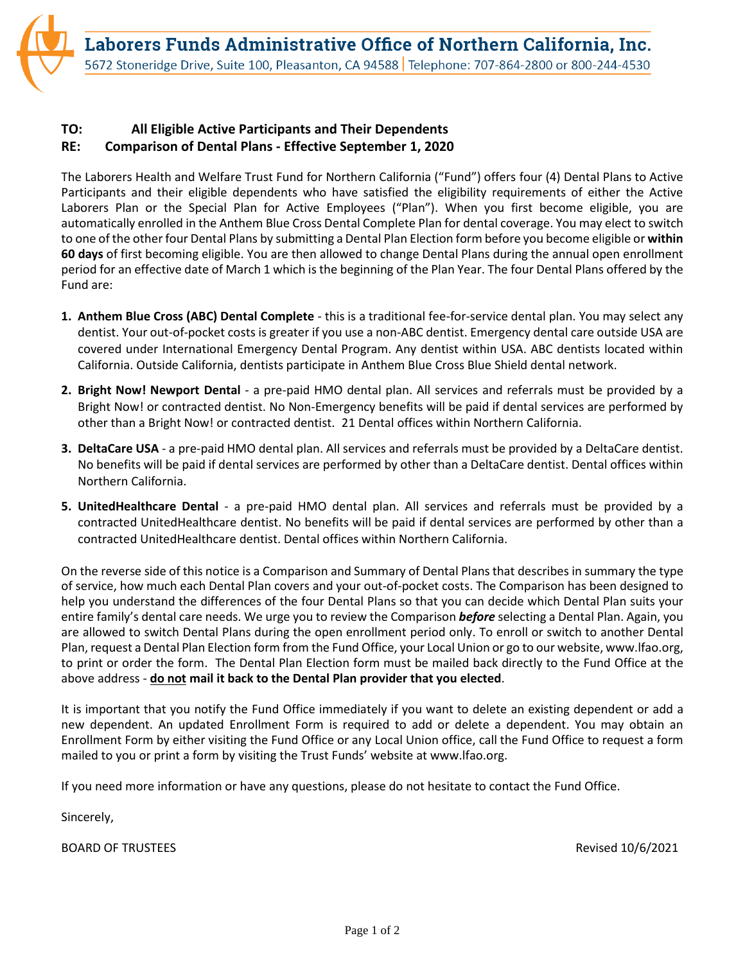## **TO: All Eligible Active Participants and Their Dependents RE: Comparison of Dental Plans - Effective September 1, 2020**

The Laborers Health and Welfare Trust Fund for Northern California ("Fund") offers four (4) Dental Plans to Active Participants and their eligible dependents who have satisfied the eligibility requirements of either the Active Laborers Plan or the Special Plan for Active Employees ("Plan"). When you first become eligible, you are automatically enrolled in the Anthem Blue Cross Dental Complete Plan for dental coverage. You may elect to switch to one of the other four Dental Plans by submitting a Dental Plan Election form before you become eligible or **within 60 days** of first becoming eligible. You are then allowed to change Dental Plans during the annual open enrollment period for an effective date of March 1 which is the beginning of the Plan Year. The four Dental Plans offered by the Fund are:

- **1. Anthem Blue Cross (ABC) Dental Complete** this is a traditional fee-for-service dental plan. You may select any dentist. Your out-of-pocket costs is greater if you use a non-ABC dentist. Emergency dental care outside USA are covered under International Emergency Dental Program. Any dentist within USA. ABC dentists located within California. Outside California, dentists participate in Anthem Blue Cross Blue Shield dental network.
- **2. Bright Now! Newport Dental** a pre-paid HMO dental plan. All services and referrals must be provided by a Bright Now! or contracted dentist. No Non-Emergency benefits will be paid if dental services are performed by other than a Bright Now! or contracted dentist. 21 Dental offices within Northern California.
- **3. DeltaCare USA** a pre-paid HMO dental plan. All services and referrals must be provided by a DeltaCare dentist. No benefits will be paid if dental services are performed by other than a DeltaCare dentist. Dental offices within Northern California.
- **5. UnitedHealthcare Dental** a pre-paid HMO dental plan. All services and referrals must be provided by a contracted UnitedHealthcare dentist. No benefits will be paid if dental services are performed by other than a contracted UnitedHealthcare dentist. Dental offices within Northern California.

On the reverse side of this notice is a Comparison and Summary of Dental Plans that describes in summary the type of service, how much each Dental Plan covers and your out-of-pocket costs. The Comparison has been designed to help you understand the differences of the four Dental Plans so that you can decide which Dental Plan suits your entire family's dental care needs. We urge you to review the Comparison *before* selecting a Dental Plan. Again, you are allowed to switch Dental Plans during the open enrollment period only. To enroll or switch to another Dental Plan, request a Dental Plan Election form from the Fund Office, your Local Union or go to our website, www.lfao.org, to print or order the form. The Dental Plan Election form must be mailed back directly to the Fund Office at the above address - **do not mail it back to the Dental Plan provider that you elected**.

It is important that you notify the Fund Office immediately if you want to delete an existing dependent or add a new dependent. An updated Enrollment Form is required to add or delete a dependent. You may obtain an Enrollment Form by either visiting the Fund Office or any Local Union office, call the Fund Office to request a form mailed to you or print a form by visiting the Trust Funds' website at www.lfao.org.

If you need more information or have any questions, please do not hesitate to contact the Fund Office.

Sincerely,

BOARD OF TRUSTEES **Revised 10/6/2021**